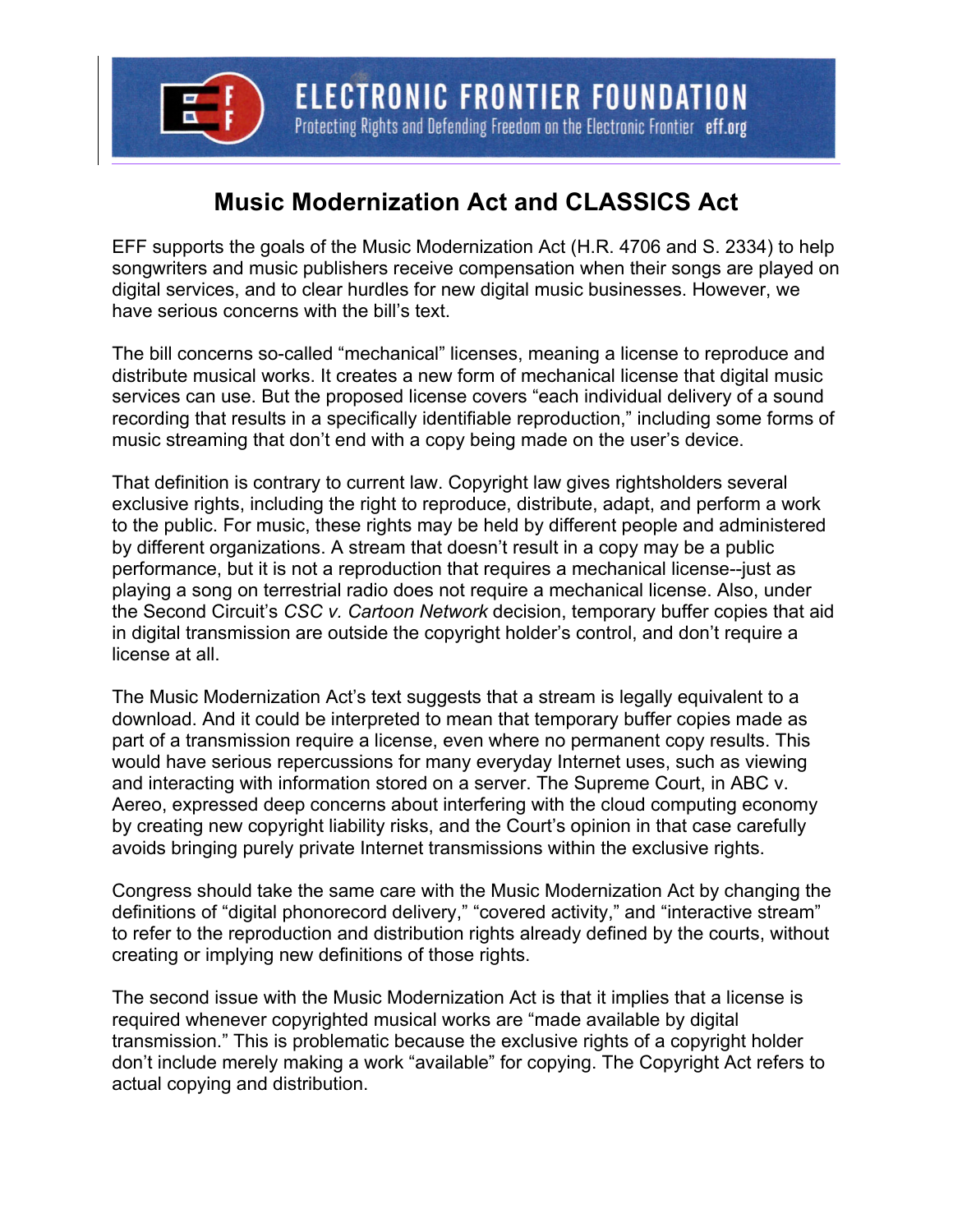

## **Music Modernization Act and CLASSICS Act**

EFF supports the goals of the Music Modernization Act (H.R. 4706 and S. 2334) to help songwriters and music publishers receive compensation when their songs are played on digital services, and to clear hurdles for new digital music businesses. However, we have serious concerns with the bill's text.

The bill concerns so-called "mechanical" licenses, meaning a license to reproduce and distribute musical works. It creates a new form of mechanical license that digital music services can use. But the proposed license covers "each individual delivery of a sound recording that results in a specifically identifiable reproduction," including some forms of music streaming that don't end with a copy being made on the user's device.

That definition is contrary to current law. Copyright law gives rightsholders several exclusive rights, including the right to reproduce, distribute, adapt, and perform a work to the public. For music, these rights may be held by different people and administered by different organizations. A stream that doesn't result in a copy may be a public performance, but it is not a reproduction that requires a mechanical license--just as playing a song on terrestrial radio does not require a mechanical license. Also, under the Second Circuit's *CSC v. Cartoon Network* decision, temporary buffer copies that aid in digital transmission are outside the copyright holder's control, and don't require a license at all.

The Music Modernization Act's text suggests that a stream is legally equivalent to a download. And it could be interpreted to mean that temporary buffer copies made as part of a transmission require a license, even where no permanent copy results. This would have serious repercussions for many everyday Internet uses, such as viewing and interacting with information stored on a server. The Supreme Court, in ABC v. Aereo, expressed deep concerns about interfering with the cloud computing economy by creating new copyright liability risks, and the Court's opinion in that case carefully avoids bringing purely private Internet transmissions within the exclusive rights.

Congress should take the same care with the Music Modernization Act by changing the definitions of "digital phonorecord delivery," "covered activity," and "interactive stream" to refer to the reproduction and distribution rights already defined by the courts, without creating or implying new definitions of those rights.

The second issue with the Music Modernization Act is that it implies that a license is required whenever copyrighted musical works are "made available by digital transmission." This is problematic because the exclusive rights of a copyright holder don't include merely making a work "available" for copying. The Copyright Act refers to actual copying and distribution.